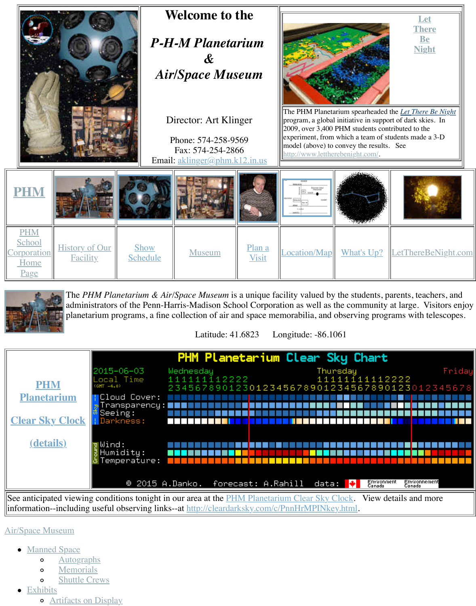



The *PHM Planetarium & Air/Space Museum* is a unique facility valued by the students, paraadministrators of the Penn-Harris-Madison School Corporation as well as the planetarium programs, a fine c[ollection of air and space](mailto:aklinger@phm.k12.in.us) memorabilia, and observing

[Latitude: 4](http://old.transitofvenus.org/phm/museum.htm)[1.6823 L](http://old.transitofvenus.org/phm/plan.htm)[ongitude: -86.1](http://old.transitofvenus.org/phm/directions.htm)061



See anticipated viewing conditions tonight in our area at the PHM Planetarium Clear Sky Clo information--including useful observing links--at http://cleardarksky.com/c/PnnHrMPINkey.html

## Air/Space Museum

- **[Manned Space](http://cleardarksky.com/c/PnnHrMPINkey.html)** 
	- **Autographs**  $\circ$
	- Memorials  $\circ$
	- [Shuttle](http://cleardarksky.com/c/PnnHrMPINkey.html) Crews  $\circ$
- Exhibits
	- [Artif](http://cleardarksky.com/c/PnnHrMPINkey.html)acts on Display $\circ$